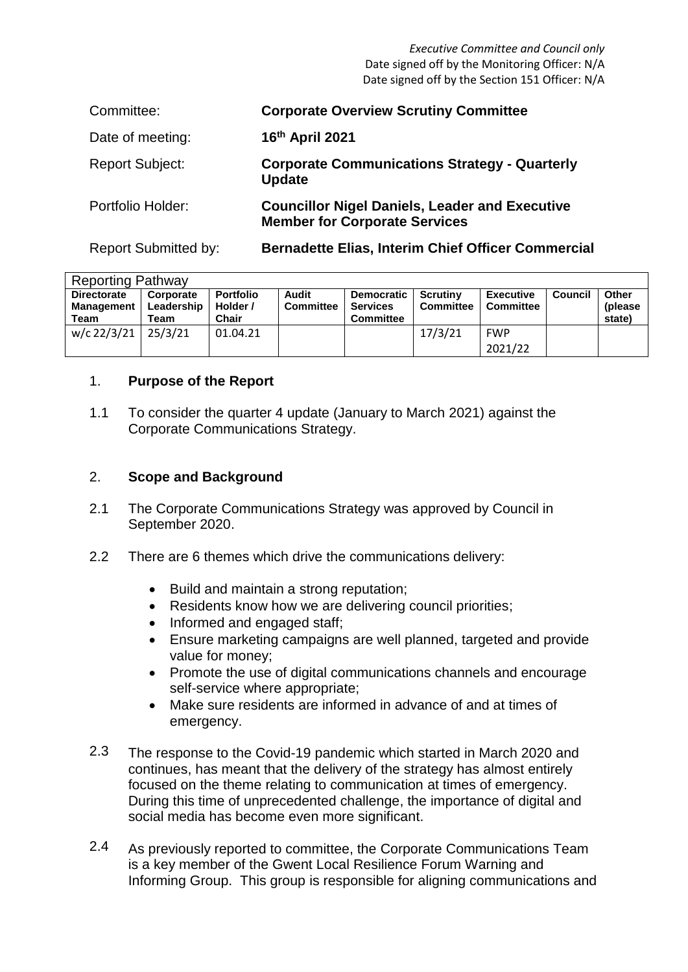*Executive Committee and Council only* Date signed off by the Monitoring Officer: N/A Date signed off by the Section 151 Officer: N/A

| Committee:                  | <b>Corporate Overview Scrutiny Committee</b>                                                  |
|-----------------------------|-----------------------------------------------------------------------------------------------|
| Date of meeting:            | 16th April 2021                                                                               |
| <b>Report Subject:</b>      | <b>Corporate Communications Strategy - Quarterly</b><br><b>Update</b>                         |
| Portfolio Holder:           | <b>Councillor Nigel Daniels, Leader and Executive</b><br><b>Member for Corporate Services</b> |
| <b>Report Submitted by:</b> | <b>Bernadette Elias, Interim Chief Officer Commercial</b>                                     |

| <b>Reporting Pathway</b>                        |                                 |                                       |                           |                                                          |                              |                                      |                |                             |  |  |
|-------------------------------------------------|---------------------------------|---------------------------------------|---------------------------|----------------------------------------------------------|------------------------------|--------------------------------------|----------------|-----------------------------|--|--|
| <b>Directorate</b><br><b>Management</b><br>Team | Corporate<br>Leadership<br>Team | <b>Portfolio</b><br>Holder /<br>Chair | Audit<br><b>Committee</b> | <b>Democratic</b><br><b>Services</b><br><b>Committee</b> | Scrutiny<br><b>Committee</b> | <b>Executive</b><br><b>Committee</b> | <b>Council</b> | Other<br>(please)<br>state) |  |  |
| $w/c$ 22/3/21 25/3/21                           |                                 | 01.04.21                              |                           |                                                          | 17/3/21                      | <b>FWP</b><br>2021/22                |                |                             |  |  |

#### 1. **Purpose of the Report**

1.1 To consider the quarter 4 update (January to March 2021) against the Corporate Communications Strategy.

#### 2. **Scope and Background**

- 2.1 The Corporate Communications Strategy was approved by Council in September 2020.
- 2.2 There are 6 themes which drive the communications delivery:
	- Build and maintain a strong reputation;
	- Residents know how we are delivering council priorities;
	- Informed and engaged staff;
	- Ensure marketing campaigns are well planned, targeted and provide value for money;
	- Promote the use of digital communications channels and encourage self-service where appropriate;
	- Make sure residents are informed in advance of and at times of emergency.
- 2.3 The response to the Covid-19 pandemic which started in March 2020 and continues, has meant that the delivery of the strategy has almost entirely focused on the theme relating to communication at times of emergency. During this time of unprecedented challenge, the importance of digital and social media has become even more significant.
- 2.4 As previously reported to committee, the Corporate Communications Team is a key member of the Gwent Local Resilience Forum Warning and Informing Group. This group is responsible for aligning communications and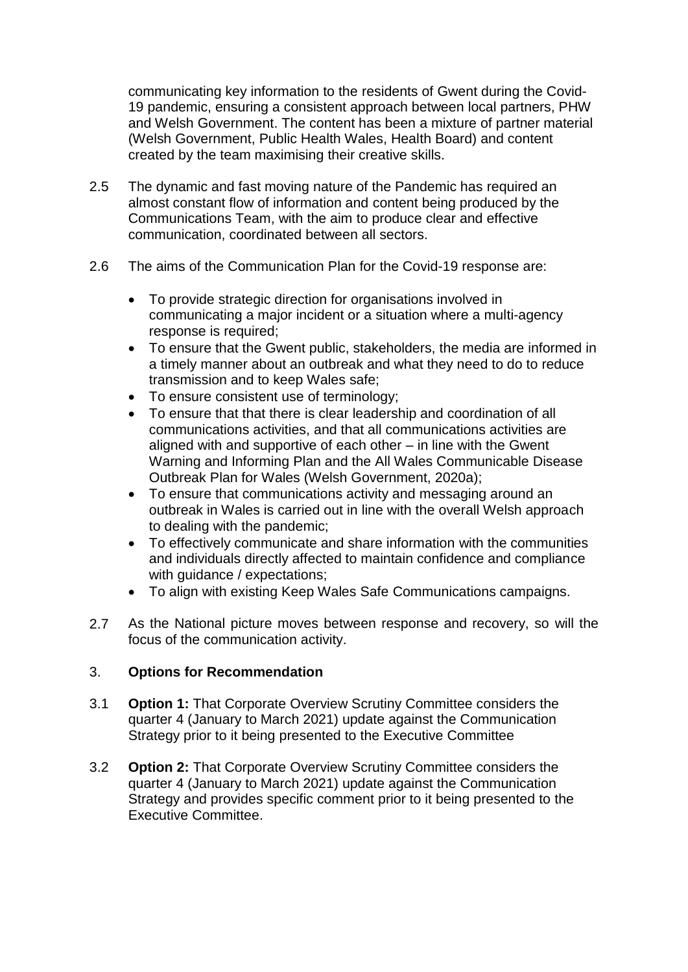communicating key information to the residents of Gwent during the Covid-19 pandemic, ensuring a consistent approach between local partners, PHW and Welsh Government. The content has been a mixture of partner material (Welsh Government, Public Health Wales, Health Board) and content created by the team maximising their creative skills.

- 2.5 The dynamic and fast moving nature of the Pandemic has required an almost constant flow of information and content being produced by the Communications Team, with the aim to produce clear and effective communication, coordinated between all sectors.
- 2.6 The aims of the Communication Plan for the Covid-19 response are:
	- To provide strategic direction for organisations involved in communicating a major incident or a situation where a multi-agency response is required;
	- To ensure that the Gwent public, stakeholders, the media are informed in a timely manner about an outbreak and what they need to do to reduce transmission and to keep Wales safe;
	- To ensure consistent use of terminology;
	- To ensure that that there is clear leadership and coordination of all communications activities, and that all communications activities are aligned with and supportive of each other – in line with the Gwent Warning and Informing Plan and the All Wales Communicable Disease Outbreak Plan for Wales (Welsh Government, 2020a);
	- To ensure that communications activity and messaging around an outbreak in Wales is carried out in line with the overall Welsh approach to dealing with the pandemic;
	- To effectively communicate and share information with the communities and individuals directly affected to maintain confidence and compliance with guidance / expectations;
	- To align with existing Keep Wales Safe Communications campaigns.
- 2.7 As the National picture moves between response and recovery, so will the focus of the communication activity.

# 3. **Options for Recommendation**

- 3.1 **Option 1:** That Corporate Overview Scrutiny Committee considers the quarter 4 (January to March 2021) update against the Communication Strategy prior to it being presented to the Executive Committee
- 3.2 **Option 2:** That Corporate Overview Scrutiny Committee considers the quarter 4 (January to March 2021) update against the Communication Strategy and provides specific comment prior to it being presented to the Executive Committee.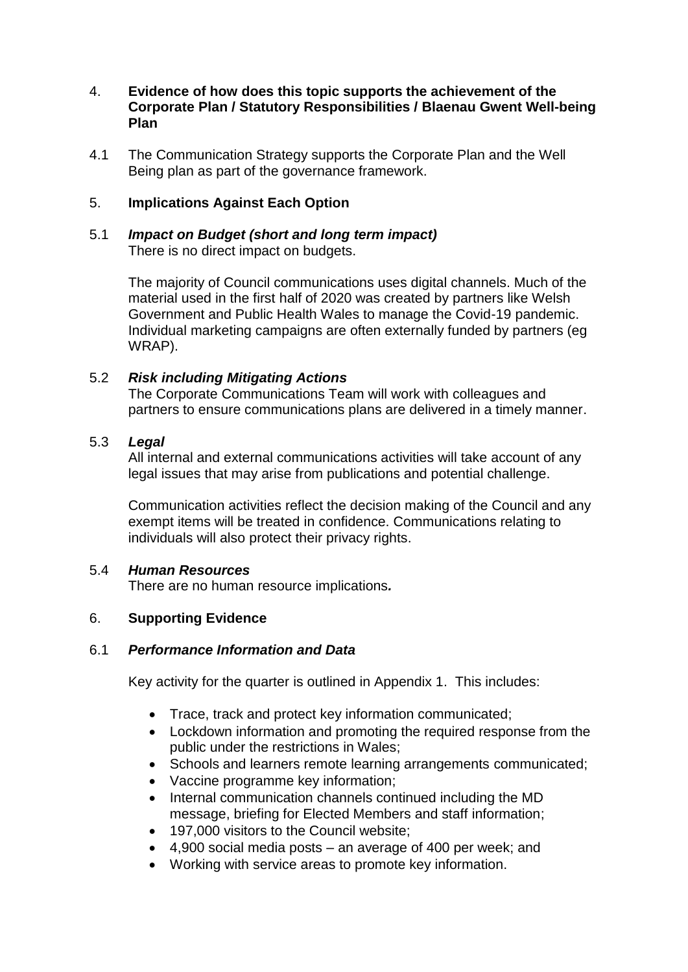#### 4. **Evidence of how does this topic supports the achievement of the Corporate Plan / Statutory Responsibilities / Blaenau Gwent Well-being Plan**

4.1 The Communication Strategy supports the Corporate Plan and the Well Being plan as part of the governance framework.

#### 5. **Implications Against Each Option**

## 5.1 *Impact on Budget (short and long term impact)* There is no direct impact on budgets.

The majority of Council communications uses digital channels. Much of the material used in the first half of 2020 was created by partners like Welsh Government and Public Health Wales to manage the Covid-19 pandemic. Individual marketing campaigns are often externally funded by partners (eg WRAP).

# 5.2 *Risk including Mitigating Actions*

The Corporate Communications Team will work with colleagues and partners to ensure communications plans are delivered in a timely manner.

#### 5.3 *Legal*

All internal and external communications activities will take account of any legal issues that may arise from publications and potential challenge.

Communication activities reflect the decision making of the Council and any exempt items will be treated in confidence. Communications relating to individuals will also protect their privacy rights.

#### 5.4 *Human Resources*

There are no human resource implications*.*

# 6. **Supporting Evidence**

#### 6.1 *Performance Information and Data*

Key activity for the quarter is outlined in Appendix 1. This includes:

- Trace, track and protect key information communicated;
- Lockdown information and promoting the required response from the public under the restrictions in Wales;
- Schools and learners remote learning arrangements communicated:
- Vaccine programme key information;
- Internal communication channels continued including the MD message, briefing for Elected Members and staff information;
- 197,000 visitors to the Council website:
- 4,900 social media posts an average of 400 per week; and
- Working with service areas to promote key information.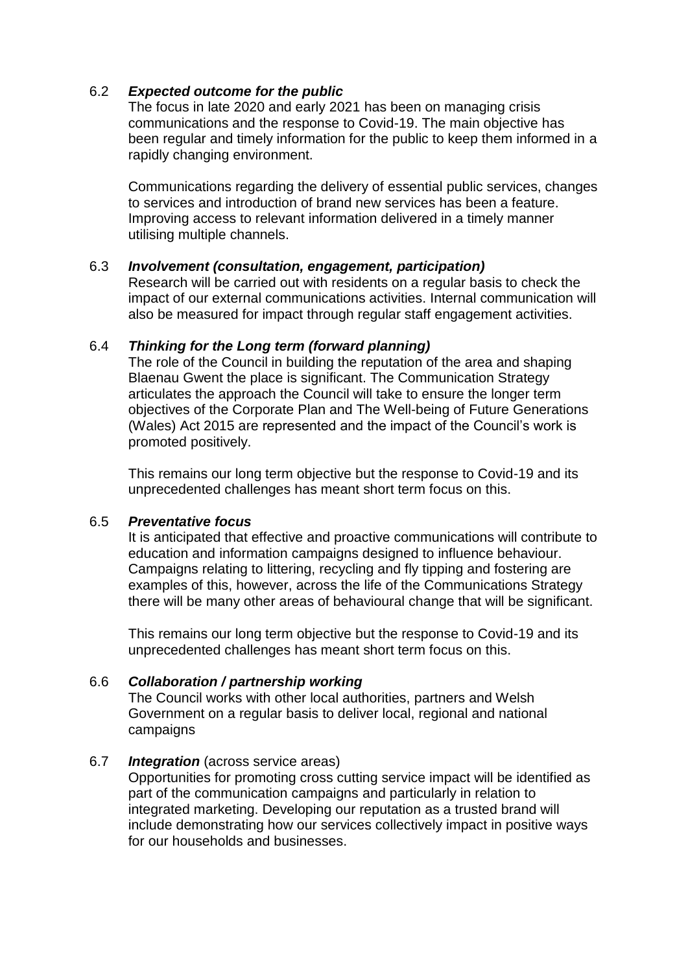#### 6.2 *Expected outcome for the public*

The focus in late 2020 and early 2021 has been on managing crisis communications and the response to Covid-19. The main objective has been regular and timely information for the public to keep them informed in a rapidly changing environment.

Communications regarding the delivery of essential public services, changes to services and introduction of brand new services has been a feature. Improving access to relevant information delivered in a timely manner utilising multiple channels.

#### 6.3 *Involvement (consultation, engagement, participation)*

Research will be carried out with residents on a regular basis to check the impact of our external communications activities. Internal communication will also be measured for impact through regular staff engagement activities.

#### 6.4 *Thinking for the Long term (forward planning)*

The role of the Council in building the reputation of the area and shaping Blaenau Gwent the place is significant. The Communication Strategy articulates the approach the Council will take to ensure the longer term objectives of the Corporate Plan and The Well-being of Future Generations (Wales) Act 2015 are represented and the impact of the Council's work is promoted positively.

This remains our long term objective but the response to Covid-19 and its unprecedented challenges has meant short term focus on this.

#### 6.5 *Preventative focus*

It is anticipated that effective and proactive communications will contribute to education and information campaigns designed to influence behaviour. Campaigns relating to littering, recycling and fly tipping and fostering are examples of this, however, across the life of the Communications Strategy there will be many other areas of behavioural change that will be significant.

This remains our long term objective but the response to Covid-19 and its unprecedented challenges has meant short term focus on this.

#### 6.6 *Collaboration / partnership working*

The Council works with other local authorities, partners and Welsh Government on a regular basis to deliver local, regional and national campaigns

#### 6.7 *Integration* (across service areas)

Opportunities for promoting cross cutting service impact will be identified as part of the communication campaigns and particularly in relation to integrated marketing. Developing our reputation as a trusted brand will include demonstrating how our services collectively impact in positive ways for our households and businesses.